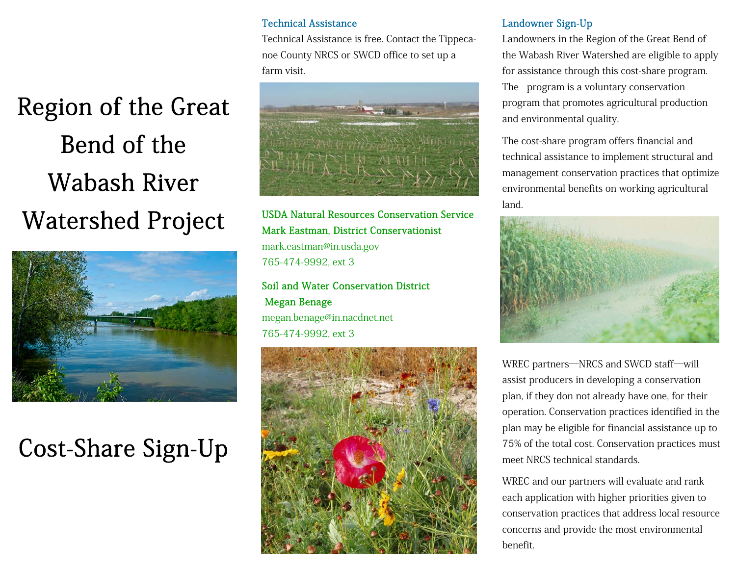# Region of the Great Bend of the Wabash River Watershed Project



### Cost-Share Sign-Up

#### Technical Assistance

Technical Assistance is free. Contact the Tippecanoe County NRCS or SWCD office to set up a farm visit.



USDA Natural Resources Conservation Service Mark Eastman, District Conservationist

mark.eastman@in.usda.gov 765-474-9992, ext 3

Soil and Water Conservation District Megan Benage megan.benage@in.nacdnet.net 765-474-9992, ext 3



#### Landowner Sign-Up

Landowners in the Region of the Great Bend of the Wabash River Watershed are eligible to apply for assistance through this cost-share program. The program is a voluntary conservation program that promotes agricultural production and environmental quality.

The cost-share program offers financial and technical assistance to implement structural and management conservation practices that optimize environmental benefits on working agricultural land.



WREC partners—NRCS and SWCD staff—will assist producers in developing a conservation plan, if they don not already have one, for their operation. Conservation practices identified in the plan may be eligible for financial assistance up to 75% of the total cost. Conservation practices must meet NRCS technical standards.

WREC and our partners will evaluate and rank each application with higher priorities given to conservation practices that address local resource concerns and provide the most environmental benefit.